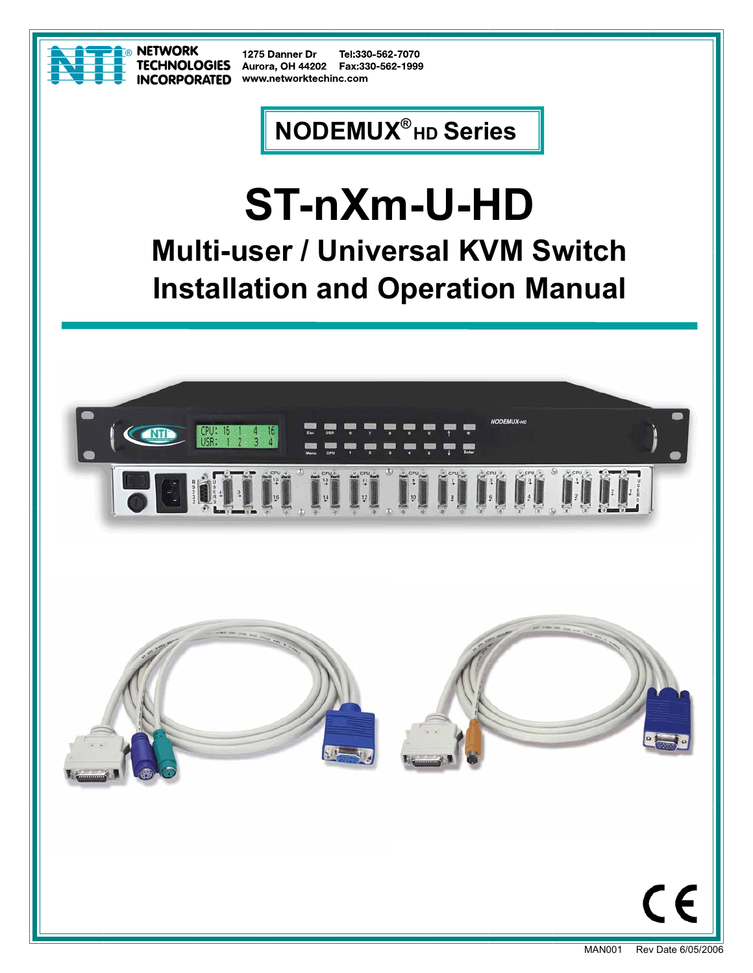

**NETWORK TECHNOLOGIES INCORPORATED** 

1275 Danner Dr Tel:330-562-7070 Aurora, OH 44202 Fax:330-562-1999 www.networktechinc.com

# **NODEMUX® HD Series**

# **ST-nXm-U-HD Multi-user / Universal KVM Switch Installation and Operation Manual**

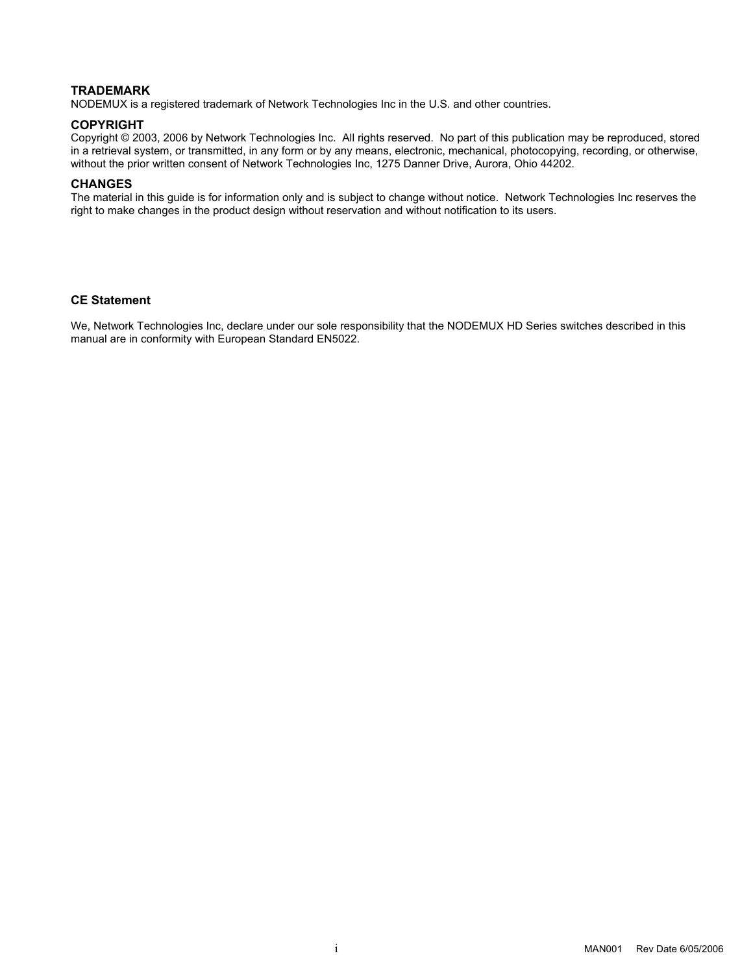#### **TRADEMARK**

NODEMUX is a registered trademark of Network Technologies Inc in the U.S. and other countries.

#### **COPYRIGHT**

Copyright © 2003, 2006 by Network Technologies Inc. All rights reserved. No part of this publication may be reproduced, stored in a retrieval system, or transmitted, in any form or by any means, electronic, mechanical, photocopying, recording, or otherwise, without the prior written consent of Network Technologies Inc, 1275 Danner Drive, Aurora, Ohio 44202.

#### **CHANGES**

The material in this guide is for information only and is subject to change without notice. Network Technologies Inc reserves the right to make changes in the product design without reservation and without notification to its users.

#### **CE Statement**

We, Network Technologies Inc, declare under our sole responsibility that the NODEMUX HD Series switches described in this manual are in conformity with European Standard EN5022.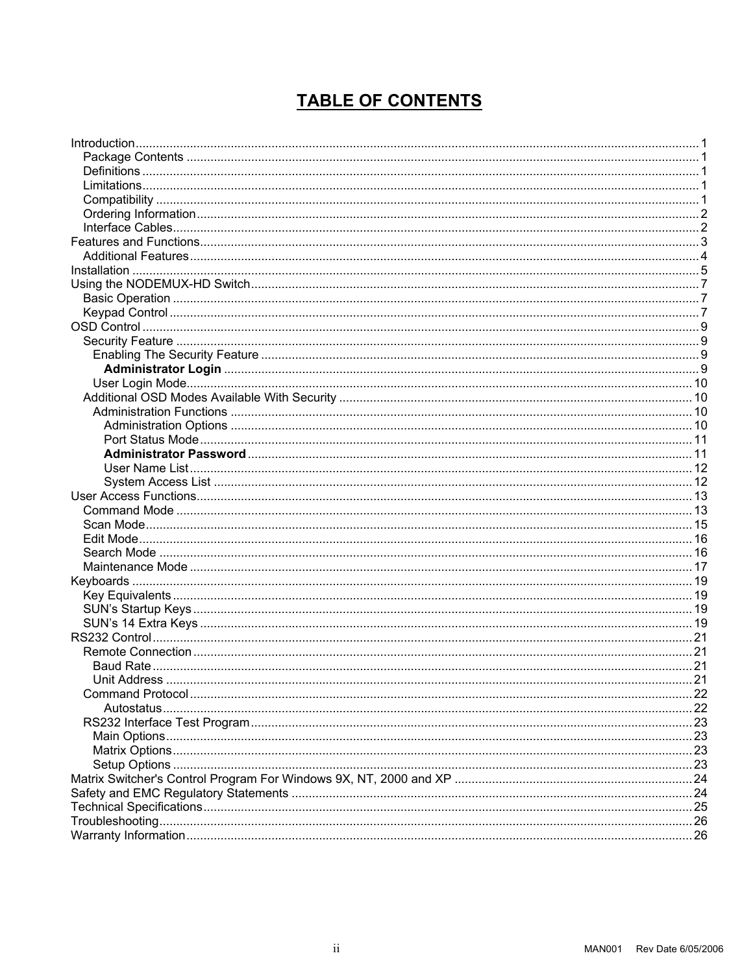## **TABLE OF CONTENTS**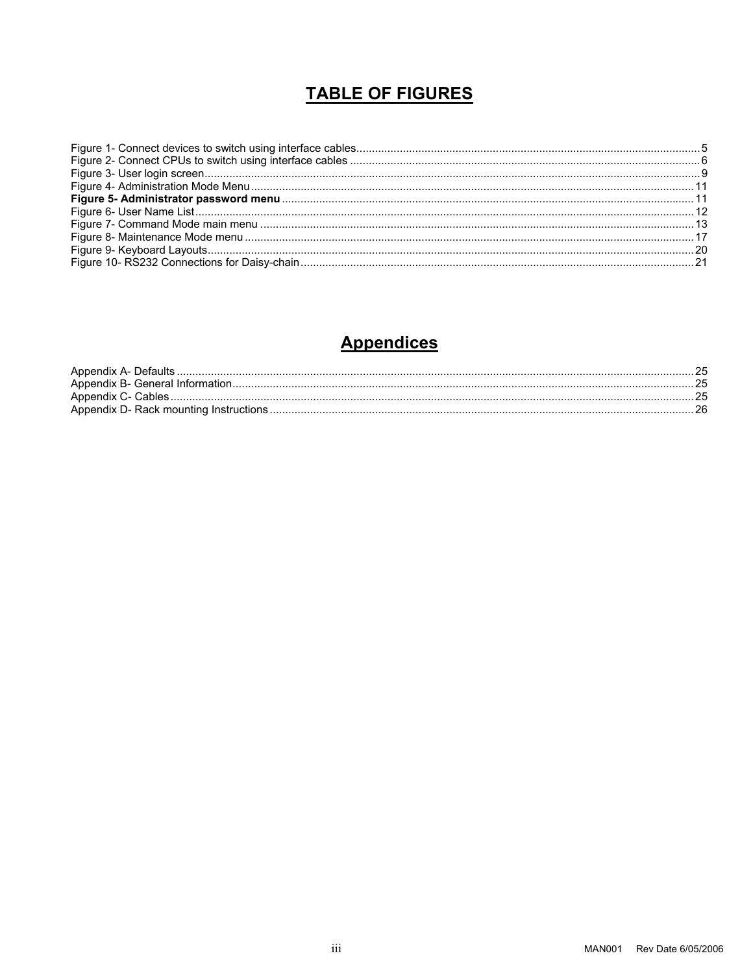## **TABLE OF FIGURES**

## **Appendices**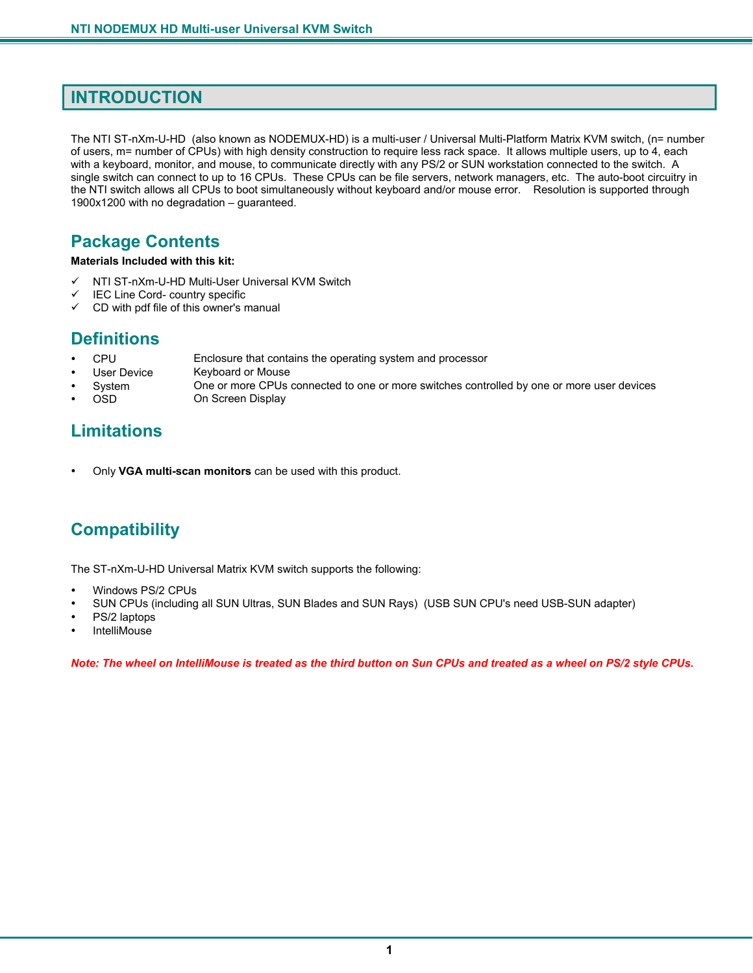## **INTRODUCTION**

The NTI ST-nXm-U-HD (also known as NODEMUX-HD) is a multi-user / Universal Multi-Platform Matrix KVM switch, (n= number of users, m= number of CPUs) with high density construction to require less rack space. It allows multiple users, up to 4, each with a keyboard, monitor, and mouse, to communicate directly with any PS/2 or SUN workstation connected to the switch. A single switch can connect to up to 16 CPUs. These CPUs can be file servers, network managers, etc. The auto-boot circuitry in the NTI switch allows all CPUs to boot simultaneously without keyboard and/or mouse error. Resolution is supported through 1900x1200 with no degradation – guaranteed.

## **Package Contents**

**Materials Included with this kit:** 

- $\checkmark$  NTI ST-nXm-U-HD Multi-User Universal KVM Switch
- $\checkmark$  IEC Line Cord- country specific
- $\checkmark$  CD with pdf file of this owner's manual

## **Definitions**

- CPU Enclosure that contains the operating system and processor
- User Device Keyboard or Mouse
- System One or more CPUs connected to one or more switches controlled by one or more user devices<br>OSD On Screen Display
- 

On Screen Display

## **Limitations**

• Only **VGA multi-scan monitors** can be used with this product.

## **Compatibility**

The ST-nXm-U-HD Universal Matrix KVM switch supports the following:

- Windows PS/2 CPUs
- SUN CPUs (including all SUN Ultras, SUN Blades and SUN Rays) (USB SUN CPU's need USB-SUN adapter)
- PS/2 laptops
- **IntelliMouse**

*Note: The wheel on IntelliMouse is treated as the third button on Sun CPUs and treated as a wheel on PS/2 style CPUs.*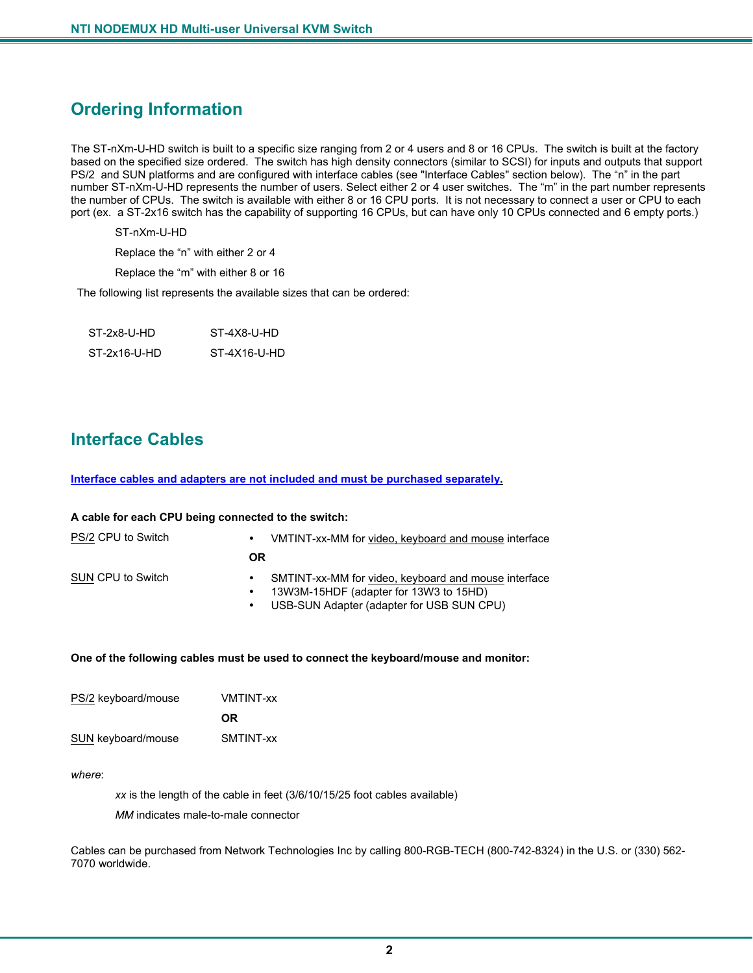## **Ordering Information**

The ST-nXm-U-HD switch is built to a specific size ranging from 2 or 4 users and 8 or 16 CPUs. The switch is built at the factory based on the specified size ordered. The switch has high density connectors (similar to SCSI) for inputs and outputs that support PS/2 and SUN platforms and are configured with interface cables (see "Interface Cables" section below). The "n" in the part number ST-nXm-U-HD represents the number of users. Select either 2 or 4 user switches. The "m" in the part number represents the number of CPUs. The switch is available with either 8 or 16 CPU ports. It is not necessary to connect a user or CPU to each port (ex. a ST-2x16 switch has the capability of supporting 16 CPUs, but can have only 10 CPUs connected and 6 empty ports.)

ST-nXm-U-HD

Replace the "n" with either 2 or 4

Replace the "m" with either 8 or 16

The following list represents the available sizes that can be ordered:

| ST-2x8-U-HD  | ST-4X8-U-HD  |  |
|--------------|--------------|--|
| ST-2x16-U-HD | ST-4X16-U-HD |  |

## **Interface Cables**

**Interface cables and adapters are not included and must be purchased separately.** 

| A cable for each CPU being connected to the switch: |                        |                                                                                                                                             |
|-----------------------------------------------------|------------------------|---------------------------------------------------------------------------------------------------------------------------------------------|
| PS/2 CPU to Switch<br>$\bullet$                     |                        | VMTINT-xx-MM for video, keyboard and mouse interface                                                                                        |
|                                                     | <b>OR</b>              |                                                                                                                                             |
| SUN CPU to Switch                                   | $\bullet$<br>$\bullet$ | SMTINT-xx-MM for video, keyboard and mouse interface<br>13W3M-15HDF (adapter for 13W3 to 15HD)<br>USB-SUN Adapter (adapter for USB SUN CPU) |

#### **One of the following cables must be used to connect the keyboard/mouse and monitor:**

| PS/2 keyboard/mouse       | <b>VMTINT-xx</b> |
|---------------------------|------------------|
|                           | 0R.              |
| <b>SUN</b> keyboard/mouse | SMTINT-xx        |

*where*:

*xx* is the length of the cable in feet (3/6/10/15/25 foot cables available)

*MM* indicates male-to-male connector

Cables can be purchased from Network Technologies Inc by calling 800-RGB-TECH (800-742-8324) in the U.S. or (330) 562- 7070 worldwide.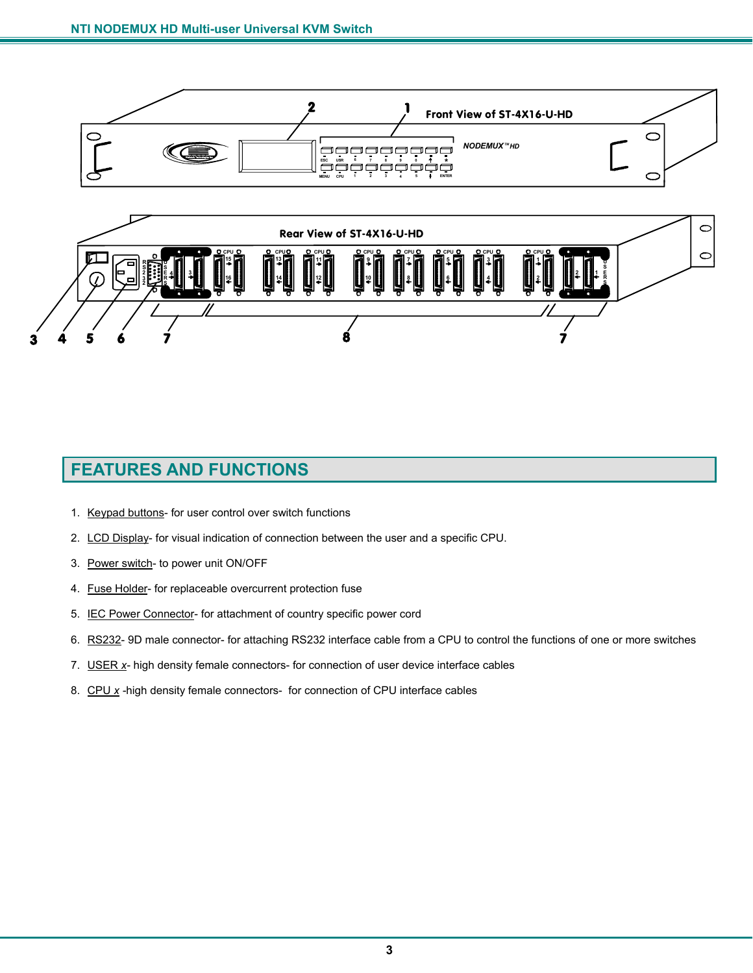



## **FEATURES AND FUNCTIONS**

- 1. Keypad buttons- for user control over switch functions
- 2. LCD Display- for visual indication of connection between the user and a specific CPU.
- 3. Power switch- to power unit ON/OFF
- 4. Fuse Holder- for replaceable overcurrent protection fuse
- 5. IEC Power Connector- for attachment of country specific power cord
- 6. RS232- 9D male connector- for attaching RS232 interface cable from a CPU to control the functions of one or more switches
- 7. USER *x-* high density female connectors- for connection of user device interface cables
- 8. CPU *x -*high density female connectors- for connection of CPU interface cables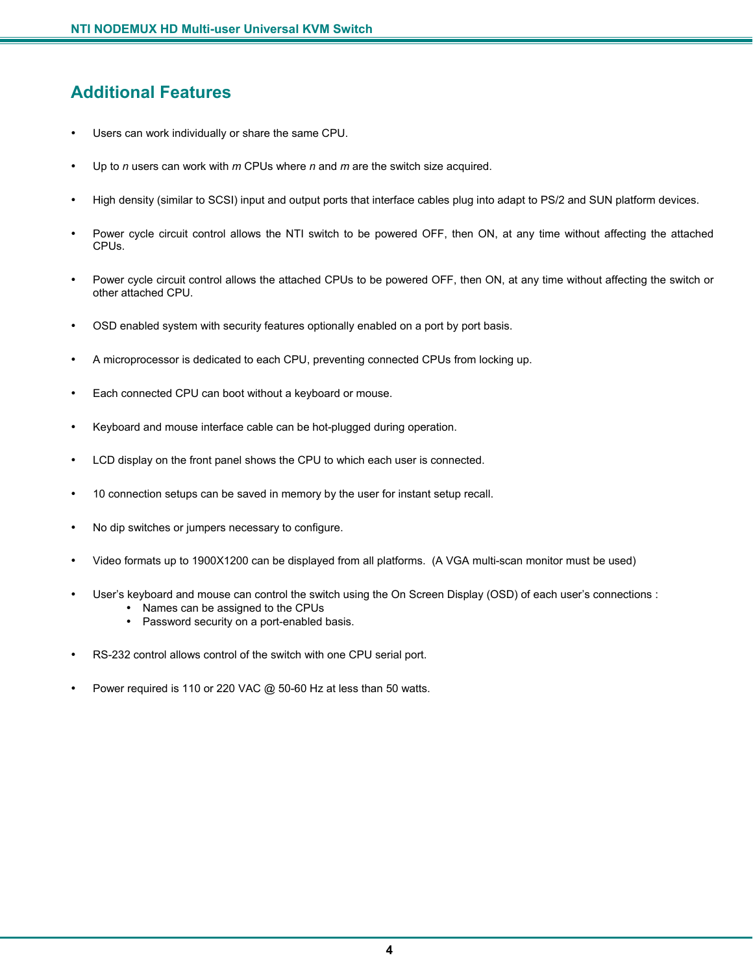## **Additional Features**

- Users can work individually or share the same CPU.
- Up to *n* users can work with *m* CPUs where *n* and *m* are the switch size acquired.
- High density (similar to SCSI) input and output ports that interface cables plug into adapt to PS/2 and SUN platform devices.
- Power cycle circuit control allows the NTI switch to be powered OFF, then ON, at any time without affecting the attached CPUs.
- Power cycle circuit control allows the attached CPUs to be powered OFF, then ON, at any time without affecting the switch or other attached CPU.
- OSD enabled system with security features optionally enabled on a port by port basis.
- A microprocessor is dedicated to each CPU, preventing connected CPUs from locking up.
- Each connected CPU can boot without a keyboard or mouse.
- Keyboard and mouse interface cable can be hot-plugged during operation.
- LCD display on the front panel shows the CPU to which each user is connected.
- 10 connection setups can be saved in memory by the user for instant setup recall.
- No dip switches or jumpers necessary to configure.
- Video formats up to 1900X1200 can be displayed from all platforms. (A VGA multi-scan monitor must be used)
- User's keyboard and mouse can control the switch using the On Screen Display (OSD) of each user's connections :
	- Names can be assigned to the CPUs
	- Password security on a port-enabled basis.
- RS-232 control allows control of the switch with one CPU serial port.
- Power required is 110 or 220 VAC @ 50-60 Hz at less than 50 watts.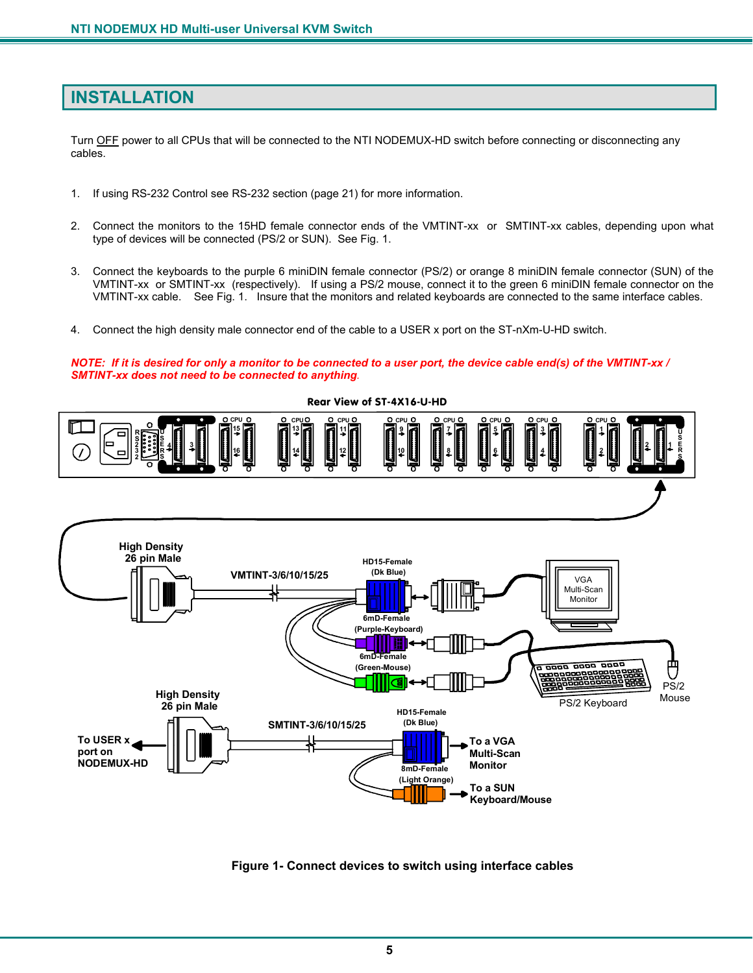## **INSTALLATION**

Turn OFF power to all CPUs that will be connected to the NTI NODEMUX-HD switch before connecting or disconnecting any cables.

- 1. If using RS-232 Control see RS-232 section (page 21) for more information.
- 2. Connect the monitors to the 15HD female connector ends of the VMTINT-xx or SMTINT-xx cables, depending upon what type of devices will be connected (PS/2 or SUN). See Fig. 1.
- 3. Connect the keyboards to the purple 6 miniDIN female connector (PS/2) or orange 8 miniDIN female connector (SUN) of the VMTINT-xx or SMTINT-xx (respectively). If using a PS/2 mouse, connect it to the green 6 miniDIN female connector on the VMTINT-xx cable. See Fig. 1. Insure that the monitors and related keyboards are connected to the same interface cables.
- 4. Connect the high density male connector end of the cable to a USER x port on the ST-nXm-U-HD switch.

*NOTE: If it is desired for only a monitor to be connected to a user port, the device cable end(s) of the VMTINT-xx / SMTINT-xx does not need to be connected to anything.* 



 **Figure 1- Connect devices to switch using interface cables**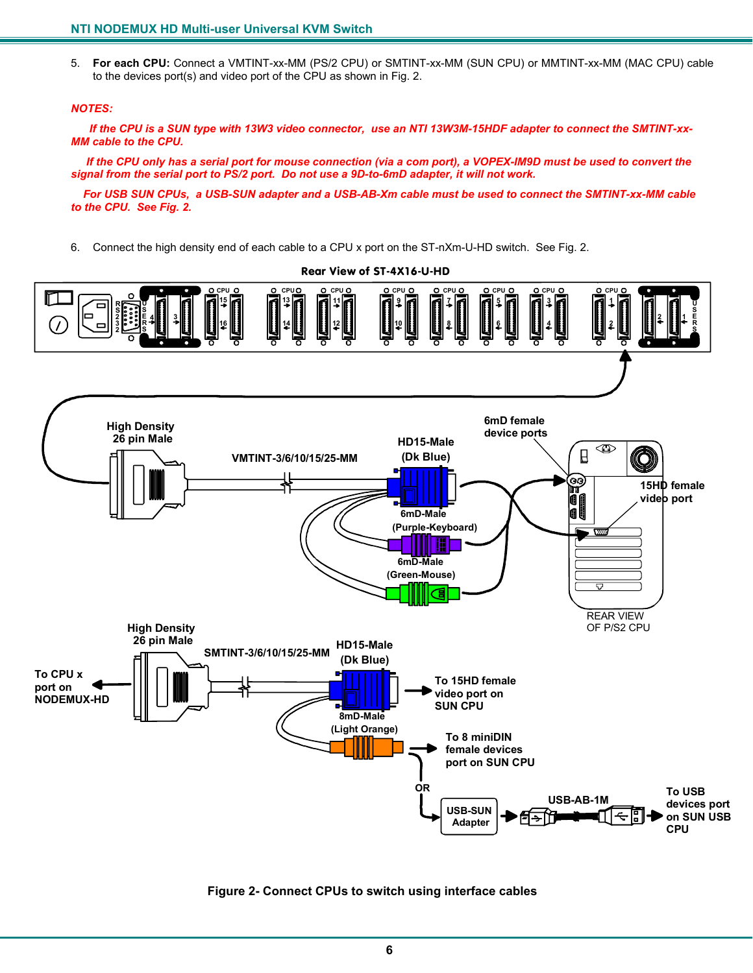5. **For each CPU:** Connect a VMTINT-xx-MM (PS/2 CPU) or SMTINT-xx-MM (SUN CPU) or MMTINT-xx-MM (MAC CPU) cable to the devices port(s) and video port of the CPU as shown in Fig. 2.

#### *NOTES:*

 *If the CPU is a SUN type with 13W3 video connector, use an NTI 13W3M-15HDF adapter to connect the SMTINT-xx-MM cable to the CPU.* 

 *If the CPU only has a serial port for mouse connection (via a com port), a VOPEX-IM9D must be used to convert the signal from the serial port to PS/2 port. Do not use a 9D-to-6mD adapter, it will not work.* 

 *For USB SUN CPUs, a USB-SUN adapter and a USB-AB-Xm cable must be used to connect the SMTINT-xx-MM cable to the CPU. See Fig. 2.* 

6. Connect the high density end of each cable to a CPU x port on the ST-nXm-U-HD switch. See Fig. 2.



 **Figure 2- Connect CPUs to switch using interface cables**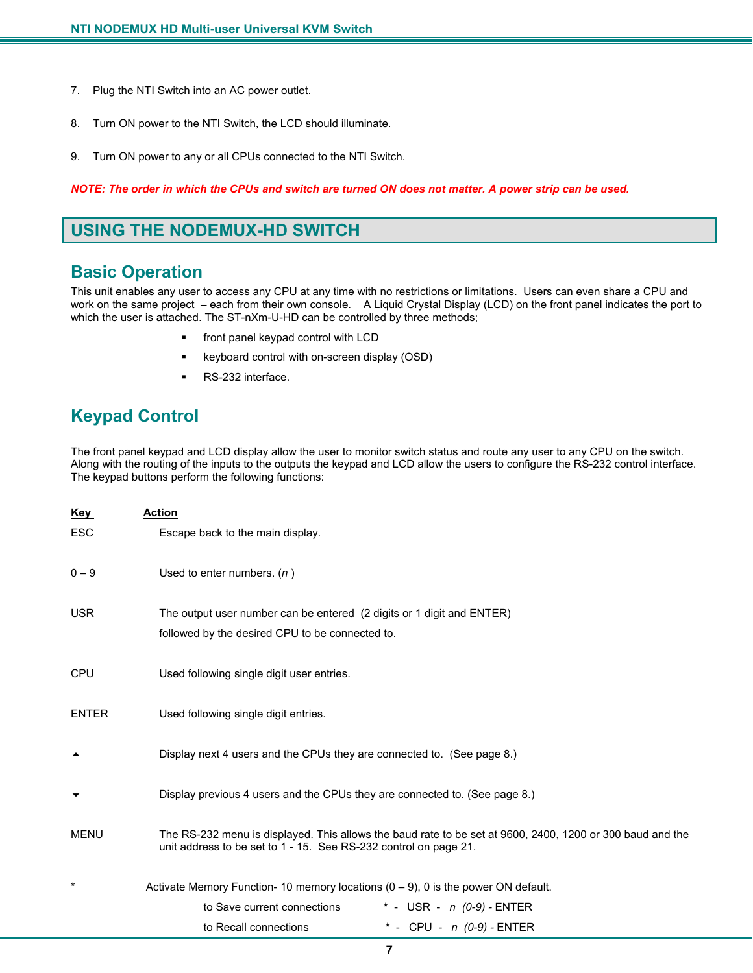- 7. Plug the NTI Switch into an AC power outlet.
- 8. Turn ON power to the NTI Switch, the LCD should illuminate.
- 9. Turn ON power to any or all CPUs connected to the NTI Switch.

*NOTE: The order in which the CPUs and switch are turned ON does not matter. A power strip can be used.* 

## **USING THE NODEMUX-HD SWITCH**

## **Basic Operation**

This unit enables any user to access any CPU at any time with no restrictions or limitations. Users can even share a CPU and work on the same project – each from their own console. A Liquid Crystal Display (LCD) on the front panel indicates the port to which the user is attached. The ST-nXm-U-HD can be controlled by three methods;

- front panel keypad control with LCD
- keyboard control with on-screen display (OSD)
- RS-232 interface.

## **Keypad Control**

The front panel keypad and LCD display allow the user to monitor switch status and route any user to any CPU on the switch. Along with the routing of the inputs to the outputs the keypad and LCD allow the users to configure the RS-232 control interface. The keypad buttons perform the following functions:

| Key          | <b>Action</b>                                                                                                                                                                 |  |
|--------------|-------------------------------------------------------------------------------------------------------------------------------------------------------------------------------|--|
| <b>ESC</b>   | Escape back to the main display.                                                                                                                                              |  |
| $0 - 9$      | Used to enter numbers. $(n)$                                                                                                                                                  |  |
| <b>USR</b>   | The output user number can be entered (2 digits or 1 digit and ENTER)                                                                                                         |  |
|              | followed by the desired CPU to be connected to.                                                                                                                               |  |
| <b>CPU</b>   | Used following single digit user entries.                                                                                                                                     |  |
| <b>ENTER</b> | Used following single digit entries.                                                                                                                                          |  |
|              | Display next 4 users and the CPUs they are connected to. (See page 8.)                                                                                                        |  |
|              | Display previous 4 users and the CPUs they are connected to. (See page 8.)                                                                                                    |  |
| MENU         | The RS-232 menu is displayed. This allows the baud rate to be set at 9600, 2400, 1200 or 300 baud and the<br>unit address to be set to 1 - 15. See RS-232 control on page 21. |  |
| $^\star$     | Activate Memory Function- 10 memory locations $(0 - 9)$ , 0 is the power ON default.                                                                                          |  |
|              | to Save current connections<br>* - USR - $n(0-9)$ - ENTER                                                                                                                     |  |
|              | * - CPU - $n(0-9)$ - ENTER<br>to Recall connections                                                                                                                           |  |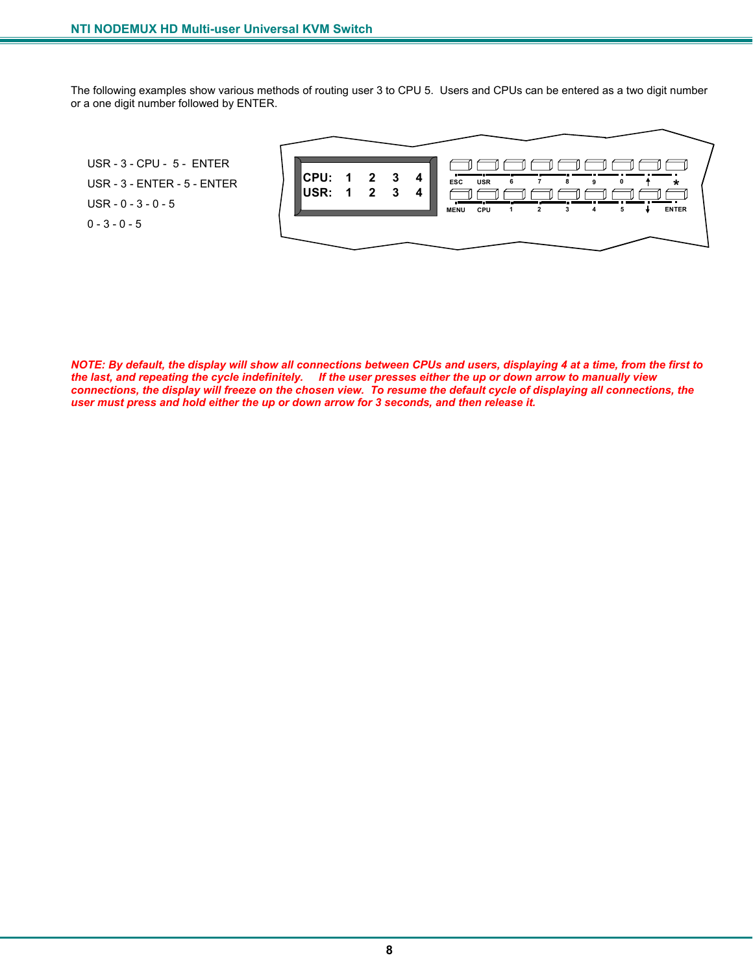The following examples show various methods of routing user 3 to CPU 5. Users and CPUs can be entered as a two digit number or a one digit number followed by ENTER.

USR - 3 - CPU - 5 - ENTER USR - 3 - ENTER - 5 - ENTER USR - 0 - 3 - 0 - 5  $0 - 3 - 0 - 5$ 



*NOTE: By default, the display will show all connections between CPUs and users, displaying 4 at a time, from the first to the last, and repeating the cycle indefinitely. If the user presses either the up or down arrow to manually view connections, the display will freeze on the chosen view. To resume the default cycle of displaying all connections, the user must press and hold either the up or down arrow for 3 seconds, and then release it.*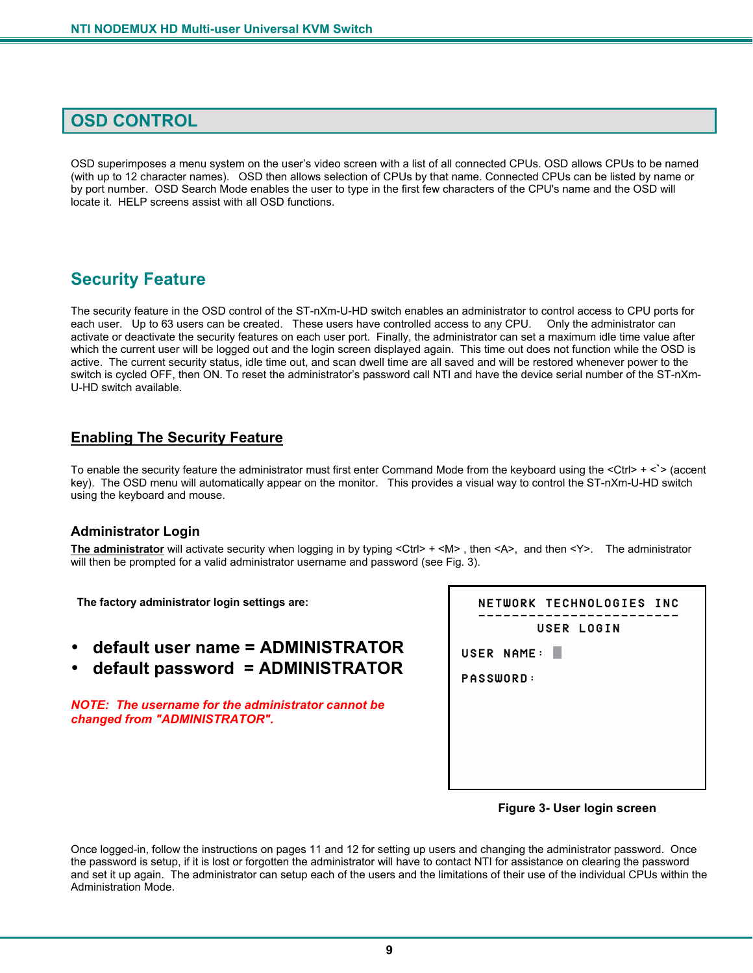## **OSD CONTROL**

OSD superimposes a menu system on the user's video screen with a list of all connected CPUs. OSD allows CPUs to be named (with up to 12 character names). OSD then allows selection of CPUs by that name. Connected CPUs can be listed by name or by port number. OSD Search Mode enables the user to type in the first few characters of the CPU's name and the OSD will locate it. HELP screens assist with all OSD functions.

## **Security Feature**

The security feature in the OSD control of the ST-nXm-U-HD switch enables an administrator to control access to CPU ports for each user. Up to 63 users can be created. These users have controlled access to any CPU. Only the administrator can activate or deactivate the security features on each user port. Finally, the administrator can set a maximum idle time value after which the current user will be logged out and the login screen displayed again. This time out does not function while the OSD is active. The current security status, idle time out, and scan dwell time are all saved and will be restored whenever power to the switch is cycled OFF, then ON. To reset the administrator's password call NTI and have the device serial number of the ST-nXm-U-HD switch available.

### **Enabling The Security Feature**

To enable the security feature the administrator must first enter Command Mode from the keyboard using the <Ctrl> + <**`**> (accent key). The OSD menu will automatically appear on the monitor. This provides a visual way to control the ST-nXm-U-HD switch using the keyboard and mouse.

#### **Administrator Login**

**The administrator** will activate security when logging in by typing <Ctrl> + <M> , then <A>, and then <Y>. The administrator will then be prompted for a valid administrator username and password (see Fig. 3).

 **The factory administrator login settings are:** 

- **default user name = ADMINISTRATOR**
- **default password = ADMINISTRATOR**

*NOTE: The username for the administrator cannot be changed from "ADMINISTRATOR".* 

| NETWORK TECHNOLOGIES INC<br>USER LOGIN |
|----------------------------------------|
|                                        |
| USER NAME: I                           |
| PASSWORD:                              |
|                                        |
|                                        |
|                                        |
|                                        |
|                                        |



Once logged-in, follow the instructions on pages 11 and 12 for setting up users and changing the administrator password. Once the password is setup, if it is lost or forgotten the administrator will have to contact NTI for assistance on clearing the password and set it up again. The administrator can setup each of the users and the limitations of their use of the individual CPUs within the Administration Mode.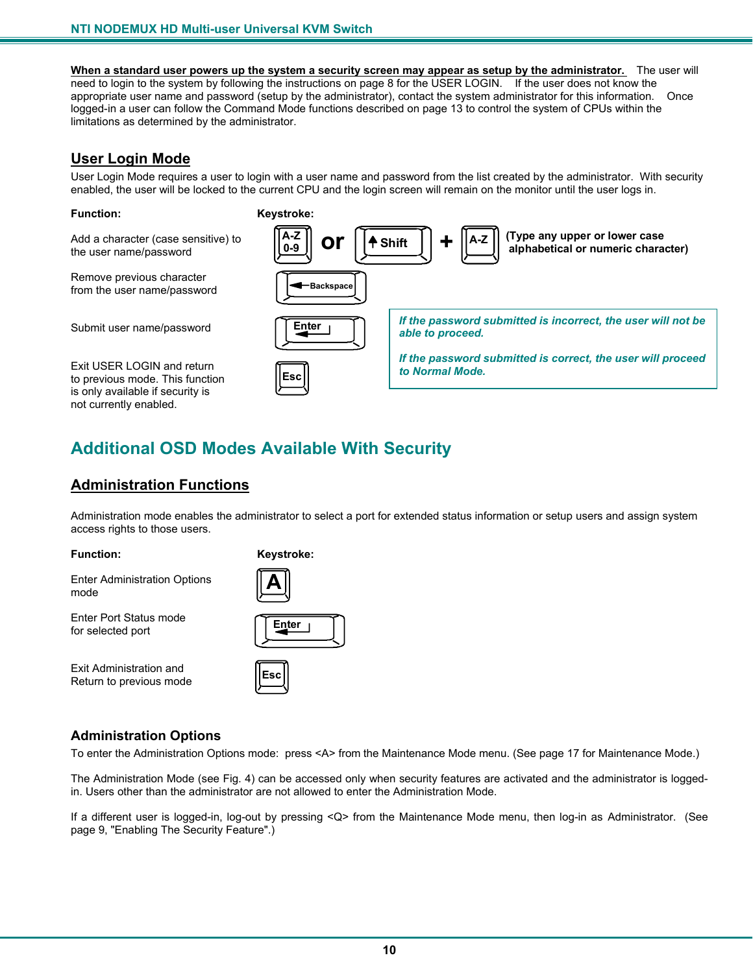**When a standard user powers up the system a security screen may appear as setup by the administrator.** The user will need to login to the system by following the instructions on page 8 for the USER LOGIN. If the user does not know the appropriate user name and password (setup by the administrator), contact the system administrator for this information. Once logged-in a user can follow the Command Mode functions described on page 13 to control the system of CPUs within the limitations as determined by the administrator.

### **User Login Mode**

User Login Mode requires a user to login with a user name and password from the list created by the administrator. With security enabled, the user will be locked to the current CPU and the login screen will remain on the monitor until the user logs in.

#### **Function: Keystroke:**

Add a character (case sensitive) to the user name/password

Remove previous character from the user name/password

Submit user name/password

Exit USER LOGIN and return to previous mode. This function is only available if security is not currently enabled.



## **Additional OSD Modes Available With Security**

## **Administration Functions**

Administration mode enables the administrator to select a port for extended status information or setup users and assign system access rights to those users.

**Function: Keystroke:** 

Enter Administration Options mode

Enter Port Status mode for selected port

Exit Administration and Return to previous mode

| ⊏nter |  |
|-------|--|
|       |  |

#### **Administration Options**

To enter the Administration Options mode: press <A> from the Maintenance Mode menu. (See page 17 for Maintenance Mode.)

The Administration Mode (see Fig. 4) can be accessed only when security features are activated and the administrator is loggedin. Users other than the administrator are not allowed to enter the Administration Mode.

If a different user is logged-in, log-out by pressing <Q> from the Maintenance Mode menu, then log-in as Administrator. (See page 9, "Enabling The Security Feature".)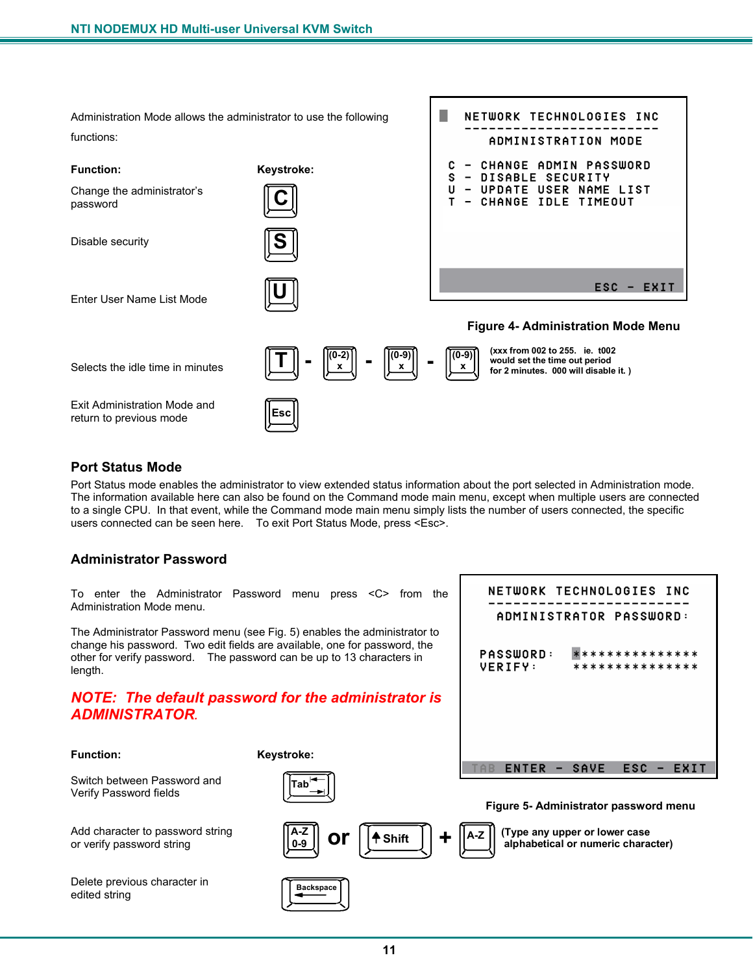

### **Port Status Mode**

Port Status mode enables the administrator to view extended status information about the port selected in Administration mode. The information available here can also be found on the Command mode main menu, except when multiple users are connected to a single CPU. In that event, while the Command mode main menu simply lists the number of users connected, the specific users connected can be seen here. To exit Port Status Mode, press <Esc>.

NETWORK TECHNOLOGIES INC

ADMINISTRATOR PASSWORD:

\*\*\*\*\*\*\*\*\*\*\*\*\*\*\*

\*\*\*\*\*\*\*\*\*\*\*\*\*\*\*

**PASSWORD:** 

VERIFY:

#### **Administrator Password**

To enter the Administrator Password menu press <C> from the Administration Mode menu.

The Administrator Password menu (see Fig. 5) enables the administrator to change his password. Two edit fields are available, one for password, the other for verify password. The password can be up to 13 characters in length.

### *NOTE: The default password for the administrator is ADMINISTRATOR.*

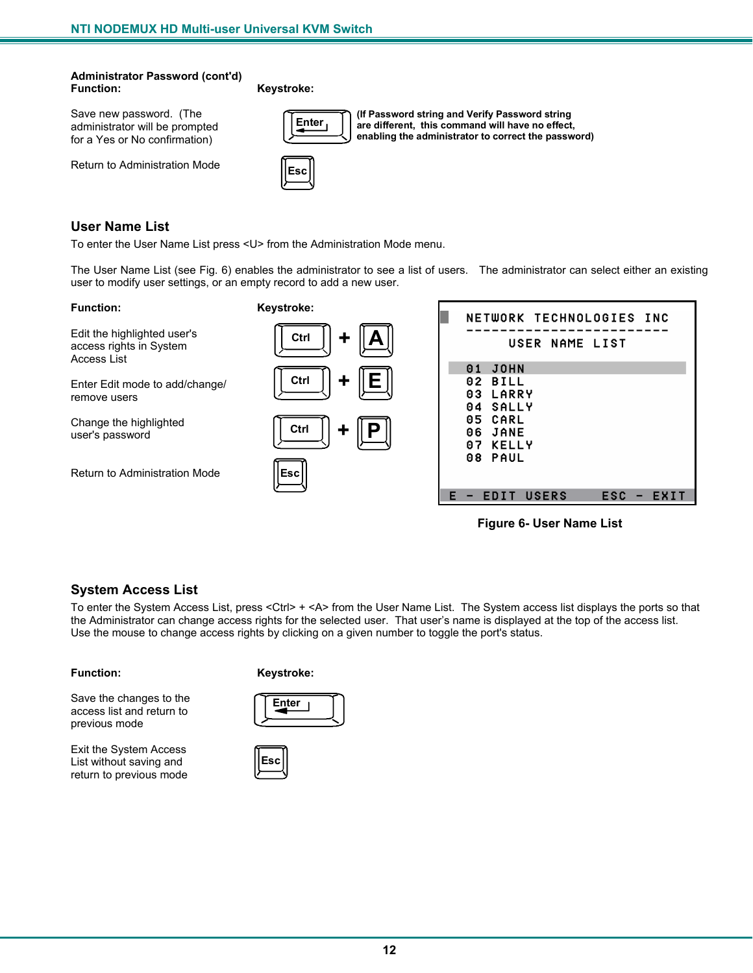#### **Administrator Password (cont'd) Function: Keystroke:**

Save new password. (The administrator will be prompted for a Yes or No confirmation)

Return to Administration Mode



**ENTERTY (If Password string and Verify Password string and Verify Password string and Verify Password string are different, this command will have no effect, enabling the administrator to correct the password)**



### **User Name List**

To enter the User Name List press <U> from the Administration Mode menu.

The User Name List (see Fig. 6) enables the administrator to see a list of users. The administrator can select either an existing user to modify user settings, or an empty record to add a new user.

**Function: Keystroke:** 

Edit the highlighted user's access rights in System Access List

Enter Edit mode to add/change/ remove users

Change the highlighted user's password

Return to Administration Mode





 **Figure 6- User Name List** 

### **System Access List**

To enter the System Access List, press <Ctrl> + <A> from the User Name List. The System access list displays the ports so that the Administrator can change access rights for the selected user. That user's name is displayed at the top of the access list. Use the mouse to change access rights by clicking on a given number to toggle the port's status.

#### **Function: Keystroke:**



Exit the System Access List without saving and return to previous mode



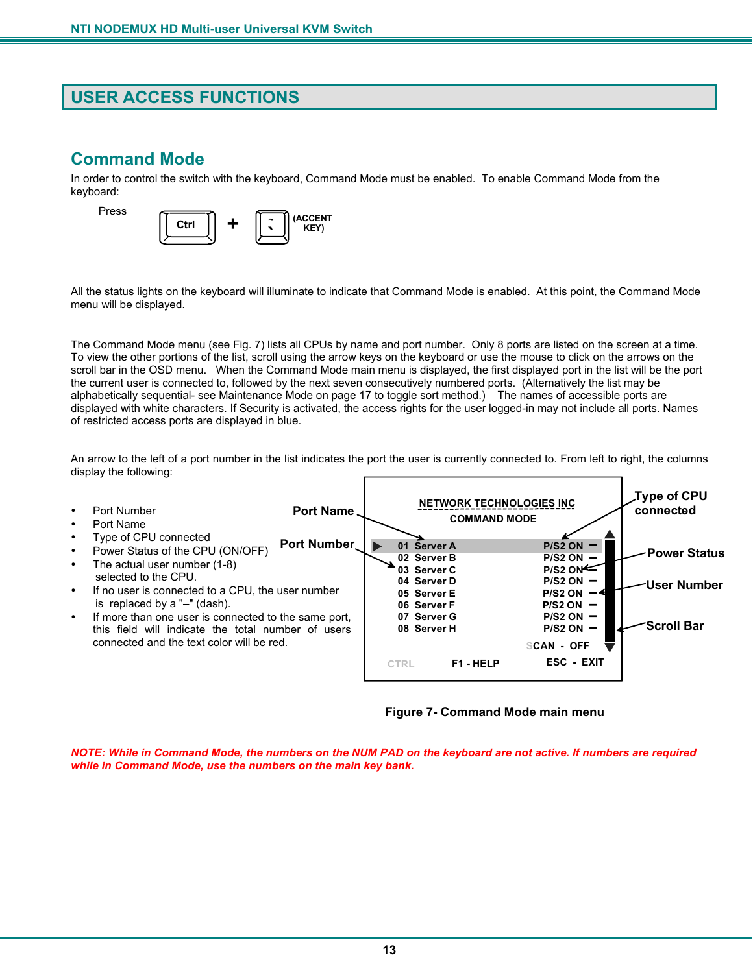## **USER ACCESS FUNCTIONS**

## **Command Mode**

In order to control the switch with the keyboard, Command Mode must be enabled. To enable Command Mode from the keyboard:



All the status lights on the keyboard will illuminate to indicate that Command Mode is enabled. At this point, the Command Mode menu will be displayed.

The Command Mode menu (see Fig. 7) lists all CPUs by name and port number. Only 8 ports are listed on the screen at a time. To view the other portions of the list, scroll using the arrow keys on the keyboard or use the mouse to click on the arrows on the scroll bar in the OSD menu. When the Command Mode main menu is displayed, the first displayed port in the list will be the port the current user is connected to, followed by the next seven consecutively numbered ports. (Alternatively the list may be alphabetically sequential- see Maintenance Mode on page 17 to toggle sort method.) The names of accessible ports are displayed with white characters. If Security is activated, the access rights for the user logged-in may not include all ports. Names of restricted access ports are displayed in blue.

An arrow to the left of a port number in the list indicates the port the user is currently connected to. From left to right, the columns display the following:



 **Figure 7- Command Mode main menu**

*NOTE: While in Command Mode, the numbers on the NUM PAD on the keyboard are not active. If numbers are required while in Command Mode, use the numbers on the main key bank.*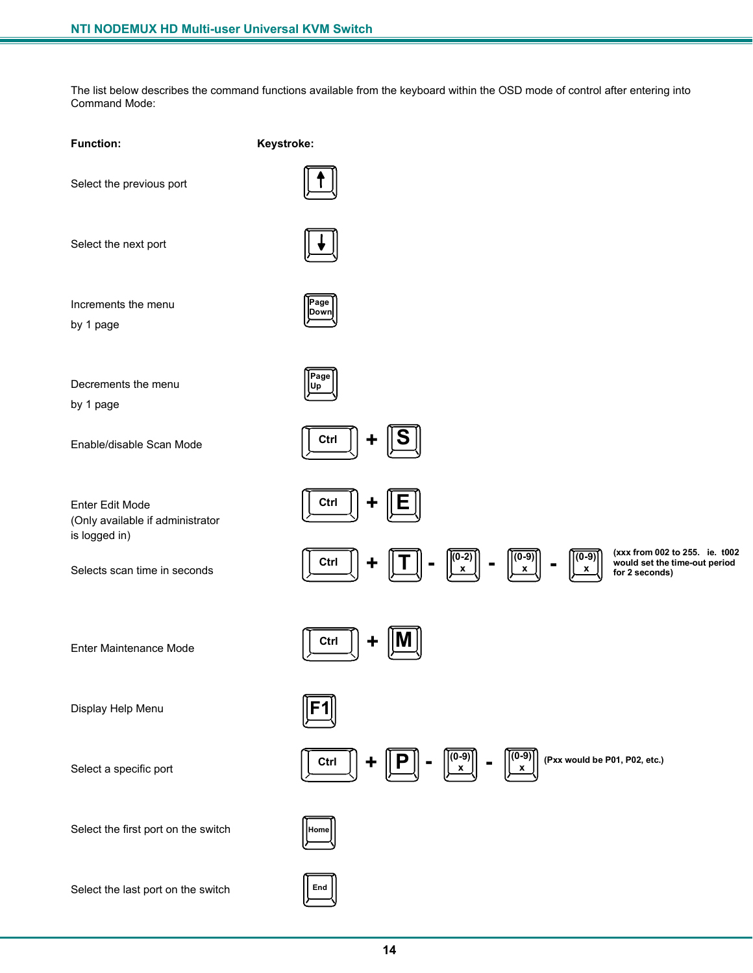The list below describes the command functions available from the keyboard within the OSD mode of control after entering into Command Mode:

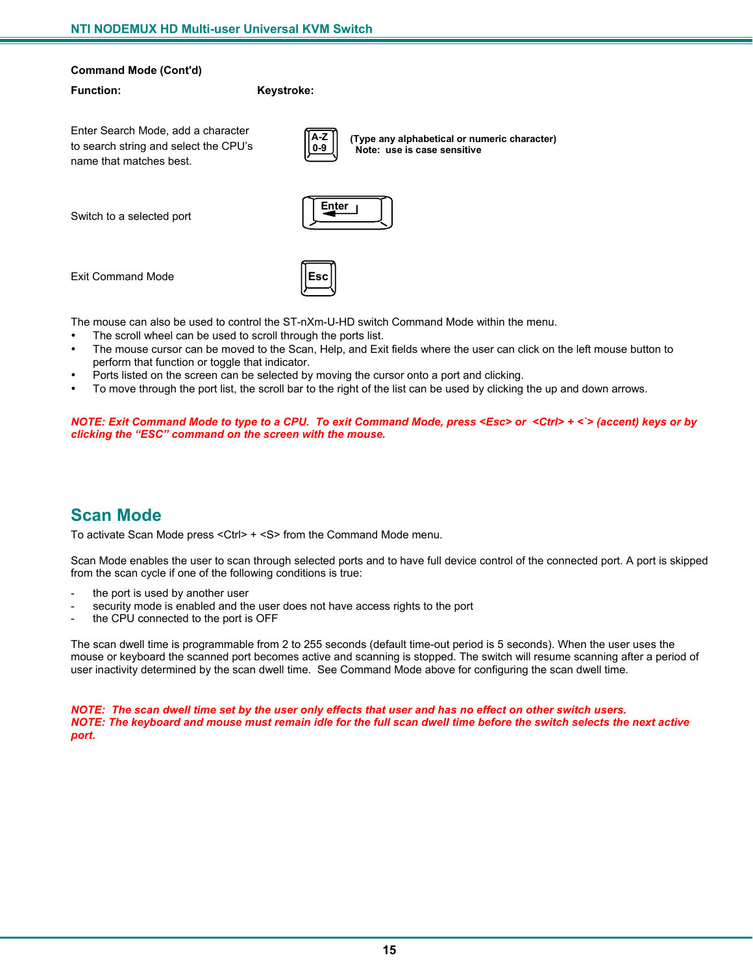#### **Command Mode (Cont'd)**

#### **Function: Keystroke:**

Enter Search Mode, add a character to search string and select the CPU's name that matches best.

**A-Z 0-9**

Switch to a selected port



Exit Command Mode

The mouse can also be used to control the ST-nXm-U-HD switch Command Mode within the menu.

**Esc**

- The scroll wheel can be used to scroll through the ports list.
- The mouse cursor can be moved to the Scan, Help, and Exit fields where the user can click on the left mouse button to perform that function or toggle that indicator.

**(Type any alphabetical or numeric character)**

 **Note: use is case sensitive**

- Ports listed on the screen can be selected by moving the cursor onto a port and clicking.
- To move through the port list, the scroll bar to the right of the list can be used by clicking the up and down arrows.

*NOTE: Exit Command Mode to type to a CPU. To exit Command Mode, press <Esc> or <Ctrl> + <`> (accent) keys or by clicking the "ESC" command on the screen with the mouse.* 

## **Scan Mode**

To activate Scan Mode press <Ctrl> + <S> from the Command Mode menu.

Scan Mode enables the user to scan through selected ports and to have full device control of the connected port. A port is skipped from the scan cycle if one of the following conditions is true:

- the port is used by another user
- security mode is enabled and the user does not have access rights to the port
- the CPU connected to the port is OFF

The scan dwell time is programmable from 2 to 255 seconds (default time-out period is 5 seconds). When the user uses the mouse or keyboard the scanned port becomes active and scanning is stopped. The switch will resume scanning after a period of user inactivity determined by the scan dwell time. See Command Mode above for configuring the scan dwell time.

*NOTE: The scan dwell time set by the user only effects that user and has no effect on other switch users. NOTE: The keyboard and mouse must remain idle for the full scan dwell time before the switch selects the next active port.*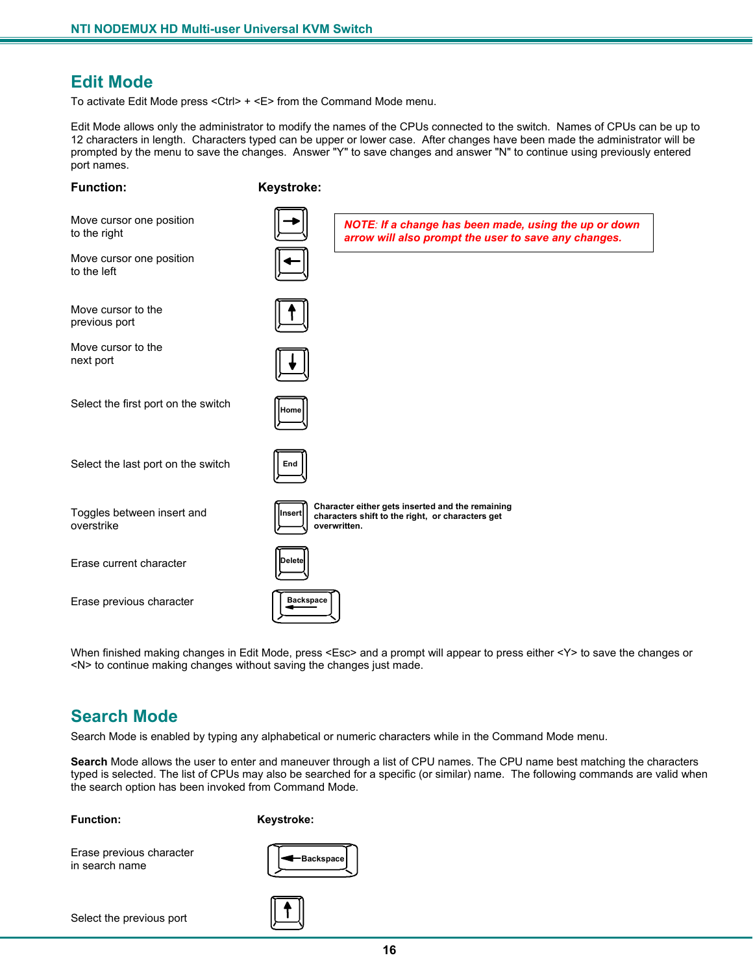## **Edit Mode**

To activate Edit Mode press <Ctrl> + <E> from the Command Mode menu.

Edit Mode allows only the administrator to modify the names of the CPUs connected to the switch. Names of CPUs can be up to 12 characters in length. Characters typed can be upper or lower case. After changes have been made the administrator will be prompted by the menu to save the changes. Answer "Y" to save changes and answer "N" to continue using previously entered port names.

> *NOTE: If a change has been made, using the up or down arrow will also prompt the user to save any changes.*

#### **Function: Keystroke:**

Move cursor one position to the right

Move cursor one position to the left

Move cursor to the previous port

Move cursor to the next port

Select the first port on the switch

**Home**

**End**

Select the last port on the switch

Toggles between insert and overstrike

Erase current character

Erase previous character

| Delete           |  |
|------------------|--|
| <b>Backspace</b> |  |

When finished making changes in Edit Mode, press <Esc> and a prompt will appear to press either <Y> to save the changes or <N> to continue making changes without saving the changes just made.

**Insert Character either gets inserted and the remaining characters shift to the right, or characters get**

## **Search Mode**

Search Mode is enabled by typing any alphabetical or numeric characters while in the Command Mode menu.

 **overwritten.**

**Search** Mode allows the user to enter and maneuver through a list of CPU names. The CPU name best matching the characters typed is selected. The list of CPUs may also be searched for a specific (or similar) name. The following commands are valid when the search option has been invoked from Command Mode.

**Function: Keystroke:** 

Erase previous character in search name



Select the previous port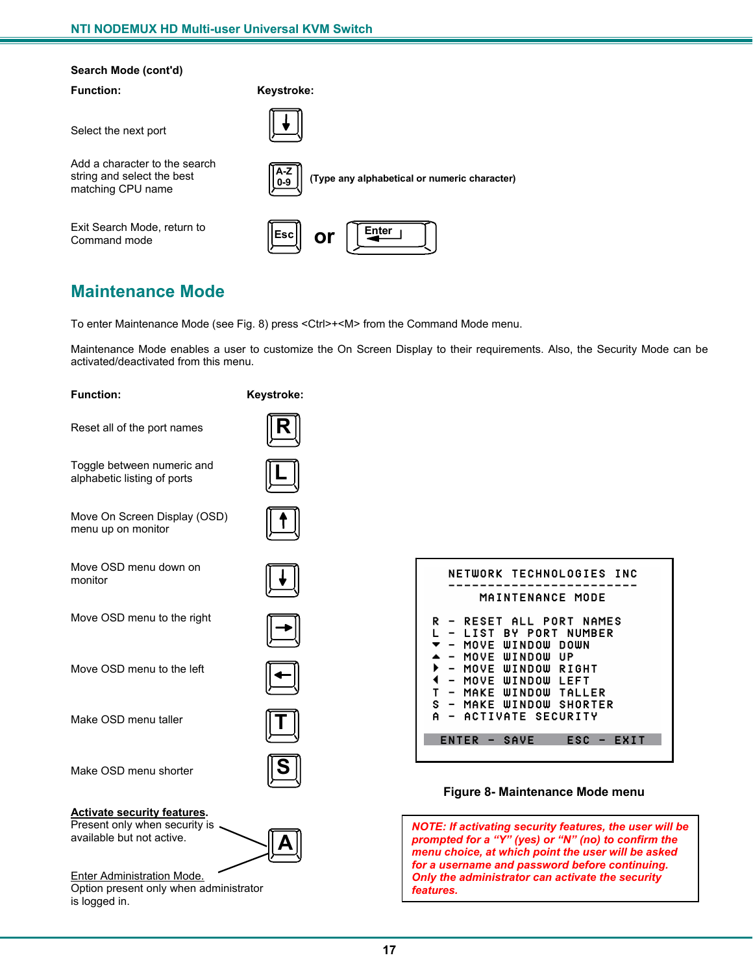#### **Search Mode (cont'd)**

Select the next port

Add a character to the search string and select the best matching CPU name

Exit Search Mode, return to Command mode



## **Maintenance Mode**

To enter Maintenance Mode (see Fig. 8) press <Ctrl>+<M> from the Command Mode menu.

Maintenance Mode enables a user to customize the On Screen Display to their requirements. Also, the Security Mode can be activated/deactivated from this menu.

| <b>Function:</b>                                                                                 | Keystroke: |
|--------------------------------------------------------------------------------------------------|------------|
| Reset all of the port names                                                                      |            |
| Toggle between numeric and<br>alphabetic listing of ports                                        |            |
| Move On Screen Display (OSD)<br>menu up on monitor                                               |            |
| Move OSD menu down on<br>monitor                                                                 |            |
| Move OSD menu to the right                                                                       |            |
| Move OSD menu to the left                                                                        |            |
| Make OSD menu taller                                                                             |            |
| Make OSD menu shorter                                                                            |            |
| <b>Activate security features.</b><br>Present only when security is<br>available but not active. |            |
| Enter Administration Mode.<br>Option present only when administrator<br>is logged in.            |            |

| NETWORK TECHNOLOGIES INC                             |
|------------------------------------------------------|
| MAINTENANCE MODE                                     |
|                                                      |
| RESET ALL PORT NAMES<br>R<br>$\sim$                  |
| LIST BY PORT NUMBER                                  |
| MOVE WINDOW DOWN                                     |
|                                                      |
| MOVE WINDOW UP                                       |
| ▶<br>MOVE WINDOW RIGHT                               |
| ◀<br>MOVE WINDOW<br>LEFT<br>$\overline{\phantom{a}}$ |
| т<br>MAKE WINDOW TALLER<br>$\overline{\phantom{a}}$  |
| S - MAKE WINDOW SHORTER                              |
| ACTIVATE SECURITY<br>Α                               |
|                                                      |
|                                                      |
| ENTER - SAVE<br>ESC<br>FXTT<br>- 1                   |
|                                                      |
|                                                      |

#### **Figure 8- Maintenance Mode menu**

*NOTE: If activating security features, the user will be prompted for a "Y" (yes) or "N" (no) to confirm the menu choice, at which point the user will be asked for a username and password before continuing. Only the administrator can activate the security features.*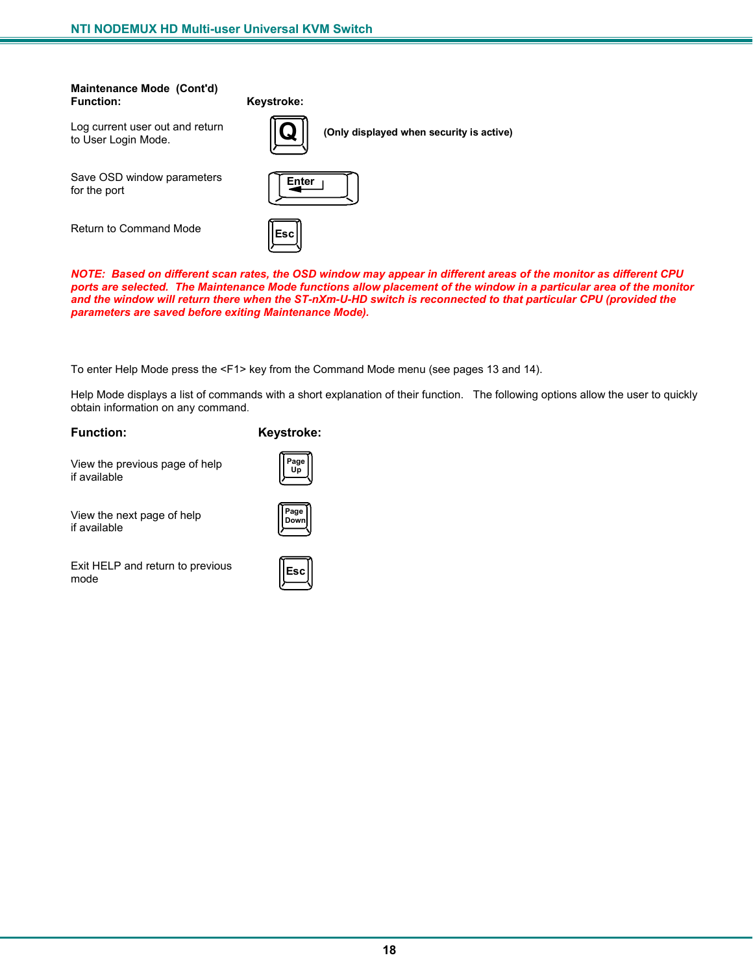# **Maintenance Mode (Cont'd)**

**Keystroke:** 

Log current user out and return to User Login Mode.

Save OSD window parameters for the port

Return to Command Mode



**Q (Only displayed when security is active)**

| Enter |  |
|-------|--|
|       |  |
|       |  |

*NOTE: Based on different scan rates, the OSD window may appear in different areas of the monitor as different CPU ports are selected. The Maintenance Mode functions allow placement of the window in a particular area of the monitor and the window will return there when the ST-nXm-U-HD switch is reconnected to that particular CPU (provided the parameters are saved before exiting Maintenance Mode).* 

To enter Help Mode press the <F1> key from the Command Mode menu (see pages 13 and 14).

Help Mode displays a list of commands with a short explanation of their function. The following options allow the user to quickly obtain information on any command.

**Function: Keystroke:** 

**Page Up**

View the previous page of help if available

View the next page of help if available

Exit HELP and return to previous mode



**Page Down**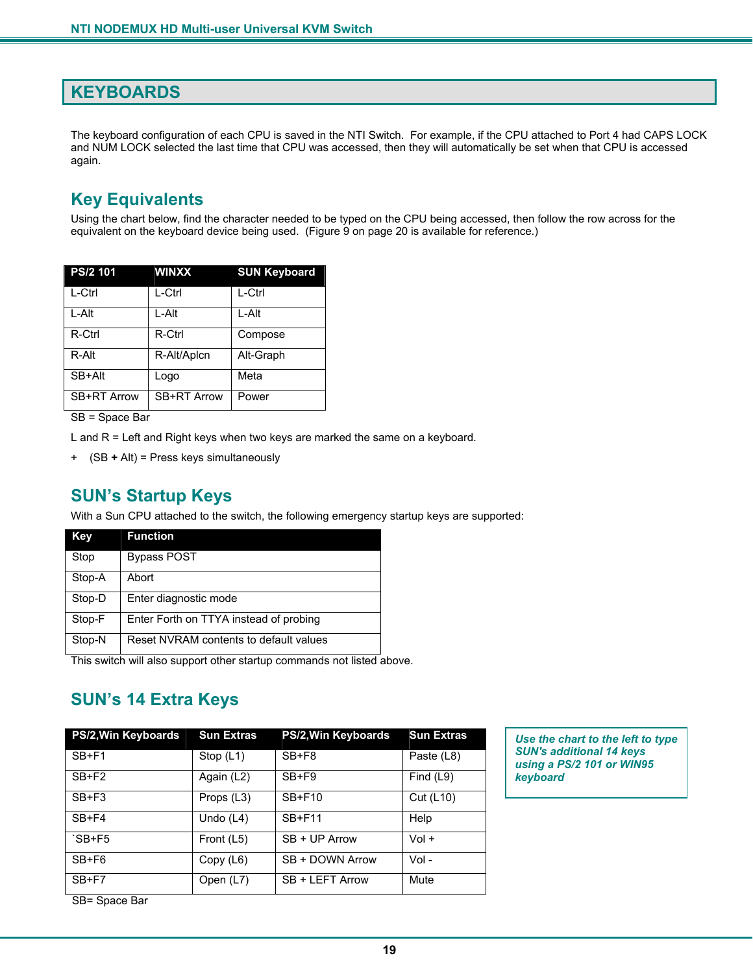## **KEYBOARDS**

The keyboard configuration of each CPU is saved in the NTI Switch. For example, if the CPU attached to Port 4 had CAPS LOCK and NUM LOCK selected the last time that CPU was accessed, then they will automatically be set when that CPU is accessed again.

## **Key Equivalents**

Using the chart below, find the character needed to be typed on the CPU being accessed, then follow the row across for the equivalent on the keyboard device being used. (Figure 9 on page 20 is available for reference.)

| PS/2 101    | <b>WINXX</b>       | <b>SUN Keyboard</b> |
|-------------|--------------------|---------------------|
| L-Ctrl      | L-Ctrl             | L-Ctrl              |
| L-Alt       | L-Alt              | L-Alt               |
| R-Ctrl      | R-Ctrl             | Compose             |
| R-Alt       | R-Alt/Aplcn        | Alt-Graph           |
| SB+Alt      | Logo               | Meta                |
| SB+RT Arrow | <b>SB+RT Arrow</b> | Power               |
|             |                    |                     |

SB = Space Bar

L and R = Left and Right keys when two keys are marked the same on a keyboard.

+ (SB **+** Alt) = Press keys simultaneously

## **SUN's Startup Keys**

With a Sun CPU attached to the switch, the following emergency startup keys are supported:

| Key    | <b>Function</b>                        |
|--------|----------------------------------------|
| Stop   | <b>Bypass POST</b>                     |
| Stop-A | Abort                                  |
| Stop-D | Enter diagnostic mode                  |
| Stop-F | Enter Forth on TTYA instead of probing |
| Stop-N | Reset NVRAM contents to default values |

This switch will also support other startup commands not listed above.

## **SUN's 14 Extra Keys**

| PS/2, Win Keyboards | <b>Sun Extras</b> | PS/2, Win Keyboards | <b>Sun Extras</b> |
|---------------------|-------------------|---------------------|-------------------|
| $SB + F1$           | Stop $(L1)$       | $SB+F8$             | Paste (L8)        |
| $SB + F2$           | Again (L2)        | $SB + F9$           | Find $(L9)$       |
| $SB + F3$           | Props (L3)        | <b>SB+F10</b>       | Cut (L10)         |
| $SB + F4$           | Undo $(L4)$       | <b>SB+F11</b>       | Help              |
| $SB + F5$           | Front (L5)        | $SB + UP$ Arrow     | $Vol +$           |
| $SB+FG$             | Copy (L6)         | SB + DOWN Arrow     | Vol -             |
| $SB + F7$           | Open (L7)         | SB + LEFT Arrow     | Mute              |

*Use the chart to the left to type SUN's additional 14 keys using a PS/2 101 or WIN95 keyboard* 

SB= Space Bar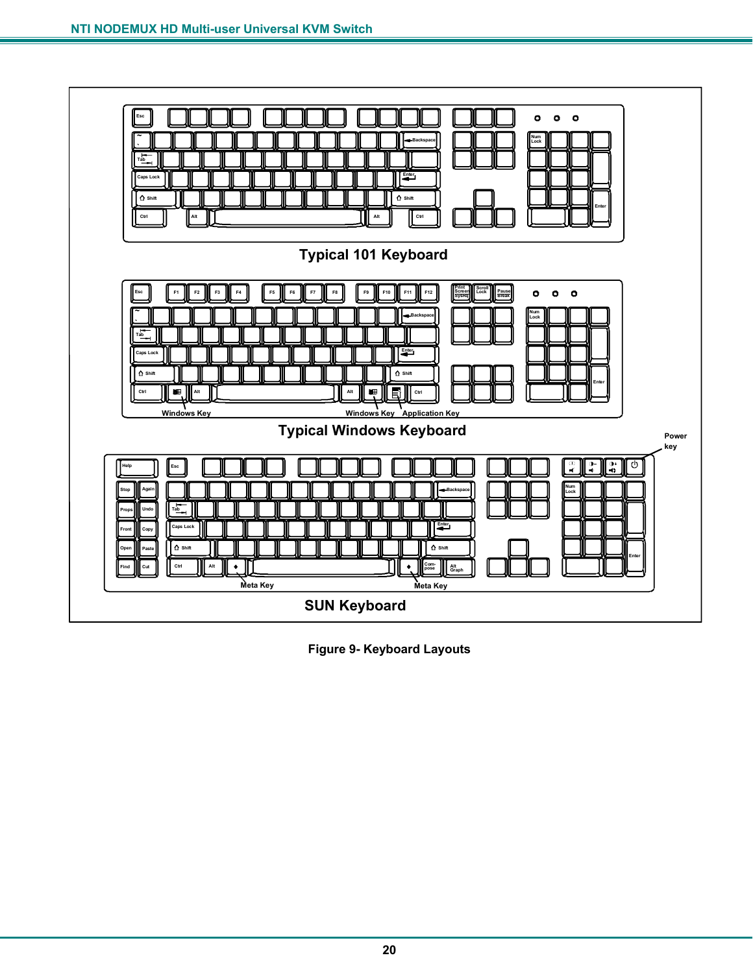

**Figure 9- Keyboard Layouts**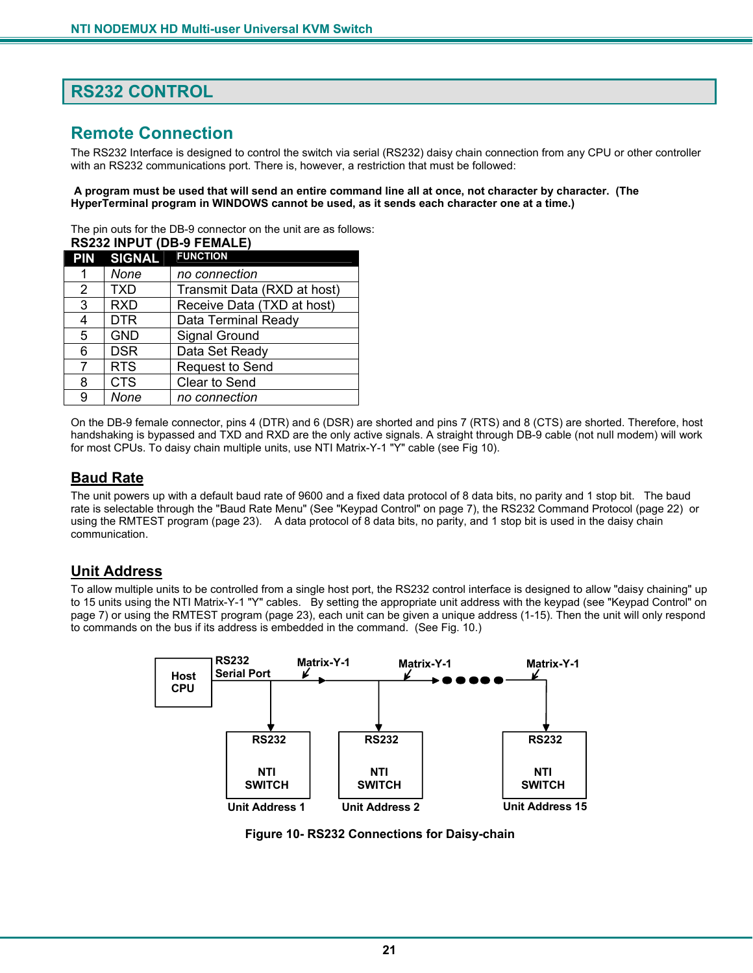## **RS232 CONTROL**

## **Remote Connection**

The RS232 Interface is designed to control the switch via serial (RS232) daisy chain connection from any CPU or other controller with an RS232 communications port. There is, however, a restriction that must be followed:

#### **A program must be used that will send an entire command line all at once, not character by character. (The HyperTerminal program in WINDOWS cannot be used, as it sends each character one at a time.)**

The pin outs for the DB-9 connector on the unit are as follows:

| <b>RS232 INPUT (DB-9 FEMALE)</b> |                             |  |
|----------------------------------|-----------------------------|--|
| PIN SIGNAL                       | <b>FUNCTION</b>             |  |
| None                             | no connection               |  |
| TXD                              | Transmit Data (RXD at host) |  |
| <b>RXD</b>                       | Receive Data (TXD at host)  |  |
| DTR                              | Data Terminal Ready         |  |
| <b>GND</b>                       | Signal Ground               |  |
| <b>DSR</b>                       | Data Set Ready              |  |
| <b>RTS</b>                       | Request to Send             |  |
| <b>CTS</b>                       | Clear to Send               |  |
| None                             | no connection               |  |
|                                  |                             |  |

On the DB-9 female connector, pins 4 (DTR) and 6 (DSR) are shorted and pins 7 (RTS) and 8 (CTS) are shorted. Therefore, host handshaking is bypassed and TXD and RXD are the only active signals. A straight through DB-9 cable (not null modem) will work for most CPUs. To daisy chain multiple units, use NTI Matrix-Y-1 "Y" cable (see Fig 10).

### **Baud Rate**

The unit powers up with a default baud rate of 9600 and a fixed data protocol of 8 data bits, no parity and 1 stop bit. The baud rate is selectable through the "Baud Rate Menu" (See "Keypad Control" on page 7), the RS232 Command Protocol (page 22) or using the RMTEST program (page 23). A data protocol of 8 data bits, no parity, and 1 stop bit is used in the daisy chain communication.

## **Unit Address**

To allow multiple units to be controlled from a single host port, the RS232 control interface is designed to allow "daisy chaining" up to 15 units using the NTI Matrix-Y-1 "Y" cables. By setting the appropriate unit address with the keypad (see "Keypad Control" on page 7) or using the RMTEST program (page 23), each unit can be given a unique address (1-15). Then the unit will only respond to commands on the bus if its address is embedded in the command. (See Fig. 10.)



 **Figure 10- RS232 Connections for Daisy-chain**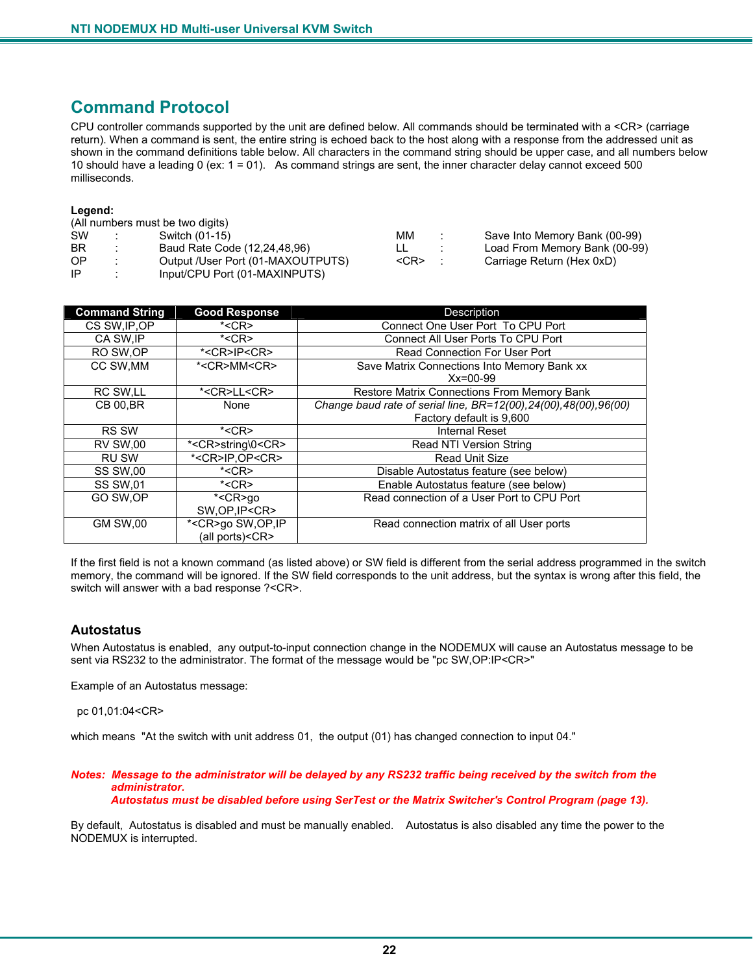## **Command Protocol**

CPU controller commands supported by the unit are defined below. All commands should be terminated with a <CR> (carriage return). When a command is sent, the entire string is echoed back to the host along with a response from the addressed unit as shown in the command definitions table below. All characters in the command string should be upper case, and all numbers below 10 should have a leading 0 (ex: 1 = 01). As command strings are sent, the inner character delay cannot exceed 500 milliseconds.

#### **Legend:**

|           |    | (All numbers must be two digits)  |            |                               |
|-----------|----|-----------------------------------|------------|-------------------------------|
| <b>SW</b> |    | Switch (01-15)                    | MМ         | Save Into Memory Bank (00-99) |
| BR        |    | Baud Rate Code (12,24,48,96)      |            | Load From Memory Bank (00-99) |
| OP.       | ٠. | Output /User Port (01-MAXOUTPUTS) | $<$ CR $>$ | Carriage Return (Hex 0xD)     |
| -IP       |    | Input/CPU Port (01-MAXINPUTS)     |            |                               |

| <b>Command String</b> | <b>Good Response</b>           | Description                                                        |
|-----------------------|--------------------------------|--------------------------------------------------------------------|
| CS SW, IP, OP         | $*<$ CR $>$                    | Connect One User Port To CPU Port                                  |
| CA SW.IP              | $*<$ CR $>$                    | Connect All User Ports To CPU Port                                 |
| RO SW.OP              | * <cr>IP<cr></cr></cr>         | Read Connection For User Port                                      |
| CC SW, MM             | * <cr>MM<cr></cr></cr>         | Save Matrix Connections Into Memory Bank xx                        |
|                       |                                | $Xx=00-99$                                                         |
| RC SW, LL             | * <cr>LL<cr></cr></cr>         | <b>Restore Matrix Connections From Memory Bank</b>                 |
| <b>CB 00, BR</b>      | None                           | Change baud rate of serial line, BR=12(00), 24(00), 48(00), 96(00) |
|                       |                                | Factory default is 9,600                                           |
| <b>RS SW</b>          | $*<$ CR $>$                    | Internal Reset                                                     |
| <b>RV SW,00</b>       | * <cr>string\0<cr></cr></cr>   | Read NTI Version String                                            |
| <b>RU SW</b>          | * <cr>IP,OP<cr></cr></cr>      | <b>Read Unit Size</b>                                              |
| <b>SS SW,00</b>       | $*<$ CR $>$                    | Disable Autostatus feature (see below)                             |
| <b>SS SW,01</b>       | $*<$ CR $>$                    | Enable Autostatus feature (see below)                              |
| GO SW.OP              | $\overline{\star}$ <cr>go</cr> | Read connection of a User Port to CPU Port                         |
|                       | SW, OP, IP <cr></cr>           |                                                                    |
| <b>GM SW,00</b>       | * <cr>go SW,OP,IP</cr>         | Read connection matrix of all User ports                           |
|                       | (all ports) <cr></cr>          |                                                                    |

If the first field is not a known command (as listed above) or SW field is different from the serial address programmed in the switch memory, the command will be ignored. If the SW field corresponds to the unit address, but the syntax is wrong after this field, the switch will answer with a bad response ?<CR>.

#### **Autostatus**

When Autostatus is enabled, any output-to-input connection change in the NODEMUX will cause an Autostatus message to be sent via RS232 to the administrator. The format of the message would be "pc SW,OP:IP<CR>"

Example of an Autostatus message:

pc 01,01:04<CR>

which means "At the switch with unit address 01, the output (01) has changed connection to input 04."

#### *Notes: Message to the administrator will be delayed by any RS232 traffic being received by the switch from the administrator.*

 *Autostatus must be disabled before using SerTest or the Matrix Switcher's Control Program (page 13).* 

By default, Autostatus is disabled and must be manually enabled. Autostatus is also disabled any time the power to the NODEMUX is interrupted.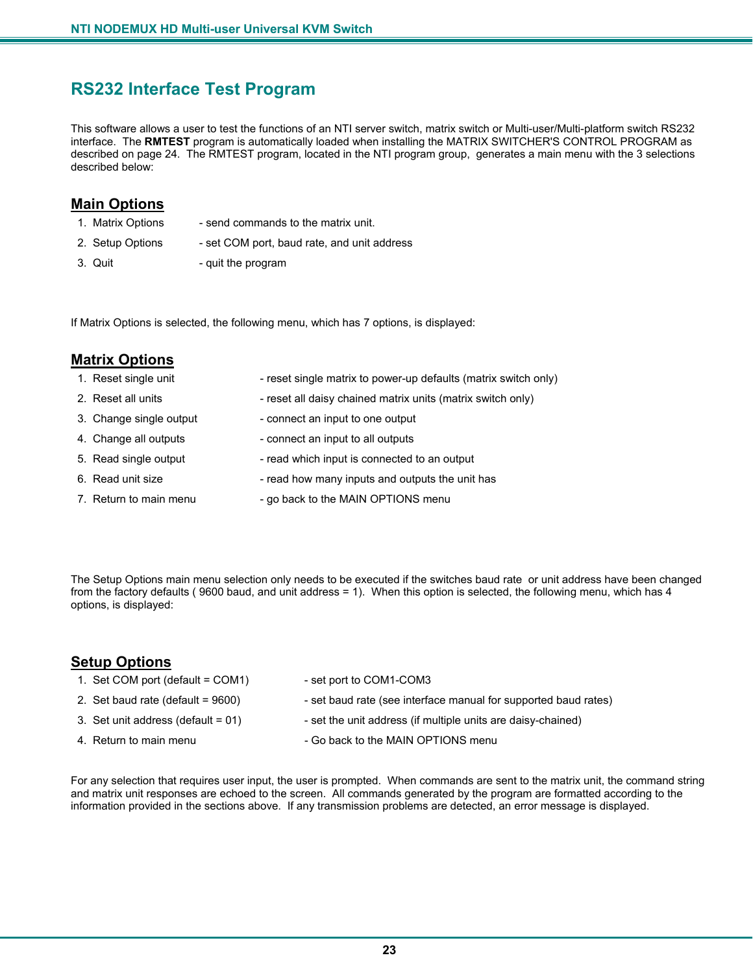## **RS232 Interface Test Program**

This software allows a user to test the functions of an NTI server switch, matrix switch or Multi-user/Multi-platform switch RS232 interface. The **RMTEST** program is automatically loaded when installing the MATRIX SWITCHER'S CONTROL PROGRAM as described on page 24. The RMTEST program, located in the NTI program group, generates a main menu with the 3 selections described below:

### **Main Options**

- 
- 1. Matrix Options send commands to the matrix unit.
- 2. Setup Options set COM port, baud rate, and unit address
- 
- 3. Quit quit the program

If Matrix Options is selected, the following menu, which has 7 options, is displayed:

| <b>Matrix Options</b>   |                                                                 |
|-------------------------|-----------------------------------------------------------------|
| 1. Reset single unit    | - reset single matrix to power-up defaults (matrix switch only) |
| 2. Reset all units      | - reset all daisy chained matrix units (matrix switch only)     |
| 3. Change single output | - connect an input to one output                                |
| 4. Change all outputs   | - connect an input to all outputs                               |
| 5. Read single output   | - read which input is connected to an output                    |
| 6. Read unit size       | - read how many inputs and outputs the unit has                 |
| 7. Return to main menu  | - go back to the MAIN OPTIONS menu                              |

The Setup Options main menu selection only needs to be executed if the switches baud rate or unit address have been changed from the factory defaults ( 9600 baud, and unit address = 1). When this option is selected, the following menu, which has 4 options, is displayed:

### **Setup Options**

- 1. Set COM port (default = COM1) set port to COM1-COM3
- 2. Set baud rate (default = 9600) set baud rate (see interface manual for supported baud rates)
- 3. Set unit address (default = 01) set the unit address (if multiple units are daisy-chained)
- 4. Return to main menu  $\overline{a}$  Go back to the MAIN OPTIONS menu
- 

For any selection that requires user input, the user is prompted. When commands are sent to the matrix unit, the command string and matrix unit responses are echoed to the screen. All commands generated by the program are formatted according to the information provided in the sections above. If any transmission problems are detected, an error message is displayed.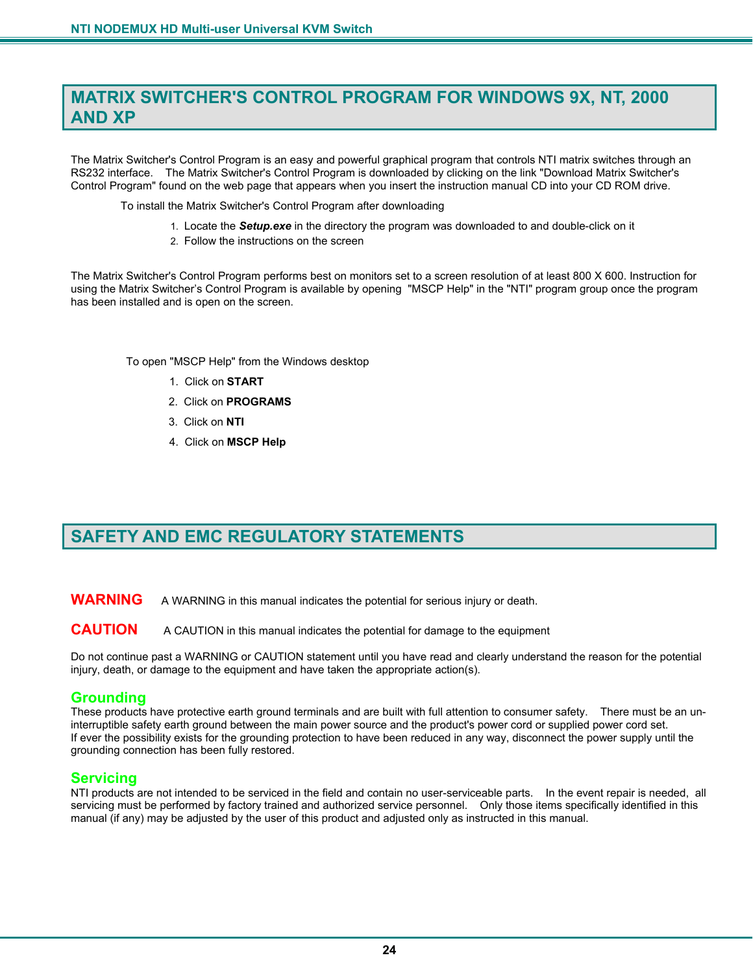## **MATRIX SWITCHER'S CONTROL PROGRAM FOR WINDOWS 9X, NT, 2000 AND XP**

The Matrix Switcher's Control Program is an easy and powerful graphical program that controls NTI matrix switches through an RS232 interface. The Matrix Switcher's Control Program is downloaded by clicking on the link "Download Matrix Switcher's Control Program" found on the web page that appears when you insert the instruction manual CD into your CD ROM drive.

To install the Matrix Switcher's Control Program after downloading

- 1. Locate the *Setup.exe* in the directory the program was downloaded to and double-click on it
- 2. Follow the instructions on the screen

The Matrix Switcher's Control Program performs best on monitors set to a screen resolution of at least 800 X 600. Instruction for using the Matrix Switcher's Control Program is available by opening "MSCP Help" in the "NTI" program group once the program has been installed and is open on the screen.

To open "MSCP Help" from the Windows desktop

- 1. Click on **START**
- 2. Click on **PROGRAMS**
- 3. Click on **NTI**
- 4. Click on **MSCP Help**

## **SAFETY AND EMC REGULATORY STATEMENTS**

**WARNING** A WARNING in this manual indicates the potential for serious injury or death.

#### **CAUTION** A CAUTION in this manual indicates the potential for damage to the equipment

Do not continue past a WARNING or CAUTION statement until you have read and clearly understand the reason for the potential injury, death, or damage to the equipment and have taken the appropriate action(s).

#### **Grounding**

These products have protective earth ground terminals and are built with full attention to consumer safety. There must be an uninterruptible safety earth ground between the main power source and the product's power cord or supplied power cord set. If ever the possibility exists for the grounding protection to have been reduced in any way, disconnect the power supply until the grounding connection has been fully restored.

#### **Servicing**

NTI products are not intended to be serviced in the field and contain no user-serviceable parts. In the event repair is needed, all servicing must be performed by factory trained and authorized service personnel. Only those items specifically identified in this manual (if any) may be adjusted by the user of this product and adjusted only as instructed in this manual.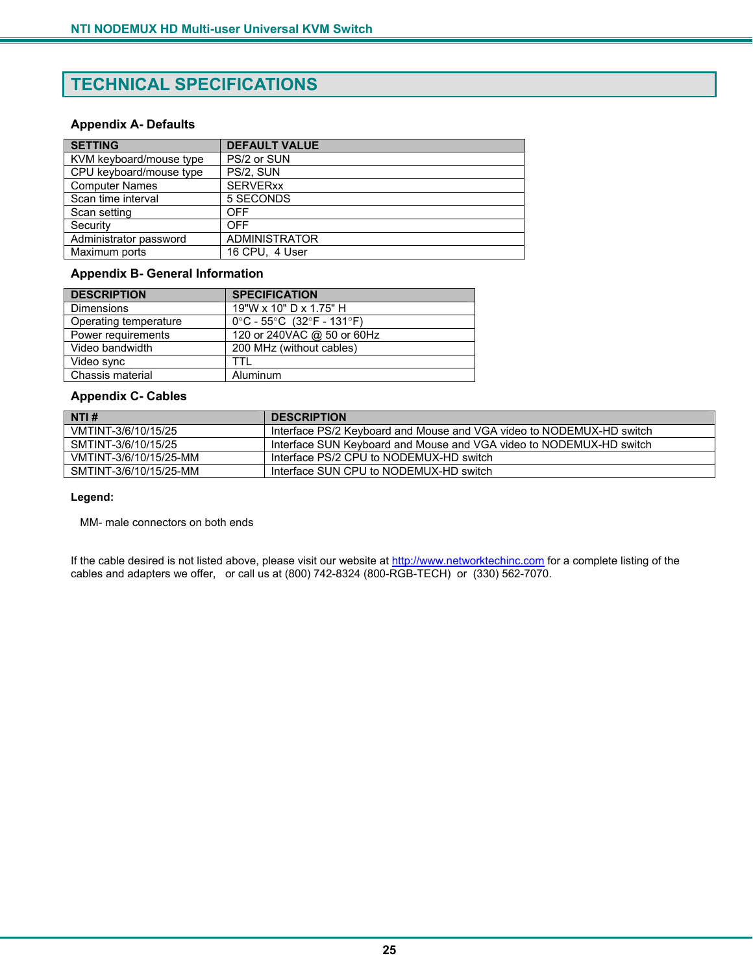## **TECHNICAL SPECIFICATIONS**

#### **Appendix A- Defaults**

| <b>SETTING</b>          | <b>DEFAULT VALUE</b> |
|-------------------------|----------------------|
| KVM keyboard/mouse type | PS/2 or SUN          |
| CPU keyboard/mouse type | PS/2, SUN            |
| <b>Computer Names</b>   | <b>SERVERxx</b>      |
| Scan time interval      | 5 SECONDS            |
| Scan setting            | OFF                  |
| Security                | OFF                  |
| Administrator password  | <b>ADMINISTRATOR</b> |
| Maximum ports           | 16 CPU, 4 User       |

#### **Appendix B- General Information**

| <b>DESCRIPTION</b>    | <b>SPECIFICATION</b>                                                 |
|-----------------------|----------------------------------------------------------------------|
| <b>Dimensions</b>     | 19"W x 10" D x 1.75" H                                               |
| Operating temperature | $0^{\circ}$ C - 55 $^{\circ}$ C (32 $^{\circ}$ F - 131 $^{\circ}$ F) |
| Power requirements    | 120 or 240VAC @ 50 or 60Hz                                           |
| Video bandwidth       | 200 MHz (without cables)                                             |
| Video sync            | TTI.                                                                 |
| Chassis material      | Aluminum                                                             |

#### **Appendix C- Cables**

| NTI #                  | <b>DESCRIPTION</b>                                                   |
|------------------------|----------------------------------------------------------------------|
| VMTINT-3/6/10/15/25    | Interface PS/2 Keyboard and Mouse and VGA video to NODEMUX-HD switch |
| SMTINT-3/6/10/15/25    | Interface SUN Keyboard and Mouse and VGA video to NODEMUX-HD switch  |
| VMTINT-3/6/10/15/25-MM | Interface PS/2 CPU to NODEMUX-HD switch                              |
| SMTINT-3/6/10/15/25-MM | Interface SUN CPU to NODEMUX-HD switch                               |

#### **Legend:**

MM- male connectors on both ends

If the cable desired is not listed above, please visit our website at http://www.networktechinc.com for a complete listing of the cables and adapters we offer, or call us at (800) 742-8324 (800-RGB-TECH) or (330) 562-7070.